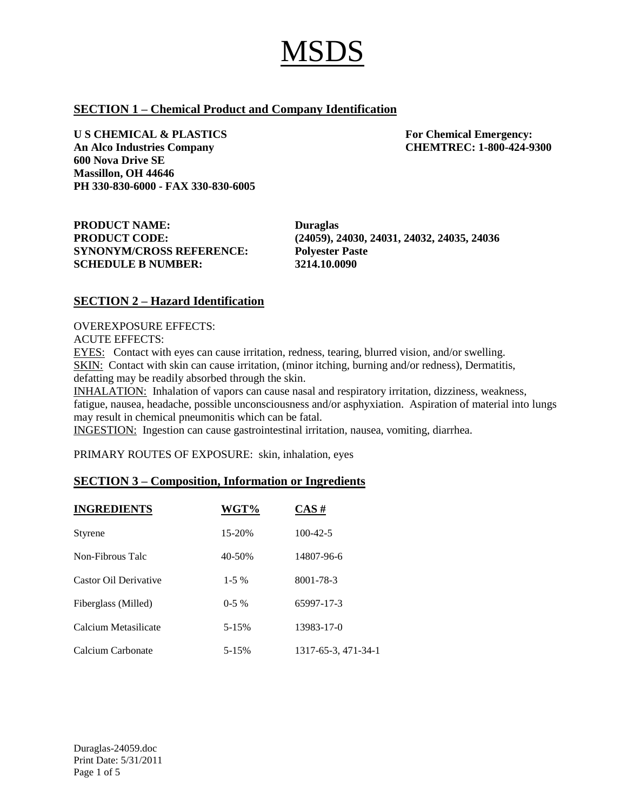# **SECTION 1 – Chemical Product and Company Identification**

**U S CHEMICAL & PLASTICS For Chemical Emergency: An Alco Industries Company CHEMTREC: 1-800-424-9300 600 Nova Drive SE Massillon, OH 44646 PH 330-830-6000 - FAX 330-830-6005**

**PRODUCT NAME: Duraglas SYNONYM/CROSS REFERENCE: Polyester Paste SCHEDULE B NUMBER: 3214.10.0090**

**PRODUCT CODE: (24059), 24030, 24031, 24032, 24035, 24036**

# **SECTION 2 – Hazard Identification**

OVEREXPOSURE EFFECTS:

ACUTE EFFECTS:

EYES: Contact with eyes can cause irritation, redness, tearing, blurred vision, and/or swelling. SKIN: Contact with skin can cause irritation, (minor itching, burning and/or redness), Dermatitis, defatting may be readily absorbed through the skin.

INHALATION: Inhalation of vapors can cause nasal and respiratory irritation, dizziness, weakness, fatigue, nausea, headache, possible unconsciousness and/or asphyxiation. Aspiration of material into lungs may result in chemical pneumonitis which can be fatal.

INGESTION: Ingestion can cause gastrointestinal irritation, nausea, vomiting, diarrhea.

PRIMARY ROUTES OF EXPOSURE: skin, inhalation, eyes

## **SECTION 3 – Composition, Information or Ingredients**

| <b>INGREDIENTS</b>    | WGT%      | $CAS \#$            |
|-----------------------|-----------|---------------------|
| <b>Styrene</b>        | 15-20%    | $100 - 42 - 5$      |
| Non-Fibrous Talc      | 40-50%    | 14807-96-6          |
| Castor Oil Derivative | $1-5\%$   | 8001-78-3           |
| Fiberglass (Milled)   | $0-5\%$   | 65997-17-3          |
| Calcium Metasilicate  | $5 - 15%$ | 13983-17-0          |
| Calcium Carbonate     | 5-15%     | 1317-65-3, 471-34-1 |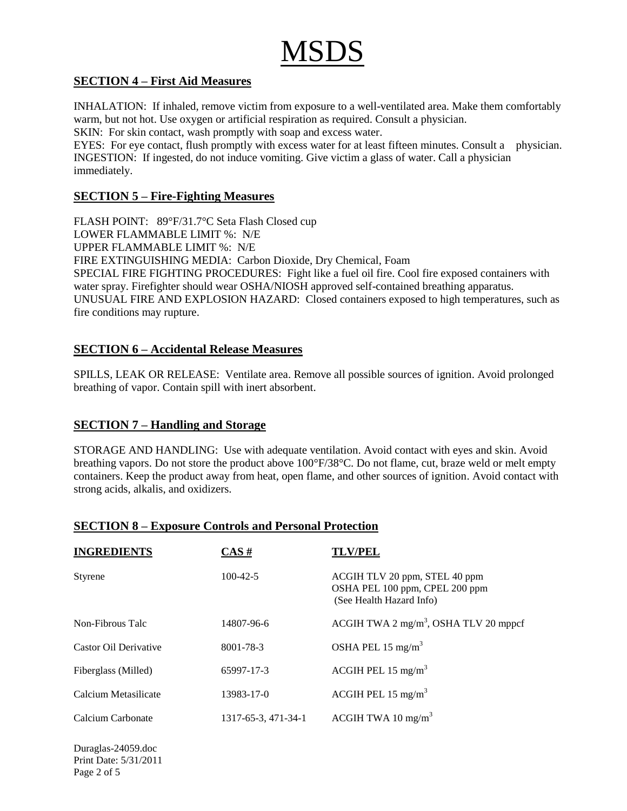# **SECTION 4 – First Aid Measures**

INHALATION: If inhaled, remove victim from exposure to a well-ventilated area. Make them comfortably warm, but not hot. Use oxygen or artificial respiration as required. Consult a physician.

SKIN: For skin contact, wash promptly with soap and excess water.

EYES: For eye contact, flush promptly with excess water for at least fifteen minutes. Consult a physician. INGESTION: If ingested, do not induce vomiting. Give victim a glass of water. Call a physician immediately.

# **SECTION 5 – Fire-Fighting Measures**

FLASH POINT: 89°F/31.7°C Seta Flash Closed cup LOWER FLAMMABLE LIMIT %: N/E UPPER FLAMMABLE LIMIT %: N/E FIRE EXTINGUISHING MEDIA: Carbon Dioxide, Dry Chemical, Foam SPECIAL FIRE FIGHTING PROCEDURES: Fight like a fuel oil fire. Cool fire exposed containers with water spray. Firefighter should wear OSHA/NIOSH approved self-contained breathing apparatus. UNUSUAL FIRE AND EXPLOSION HAZARD: Closed containers exposed to high temperatures, such as fire conditions may rupture.

# **SECTION 6 – Accidental Release Measures**

SPILLS, LEAK OR RELEASE: Ventilate area. Remove all possible sources of ignition. Avoid prolonged breathing of vapor. Contain spill with inert absorbent.

# **SECTION 7 – Handling and Storage**

STORAGE AND HANDLING: Use with adequate ventilation. Avoid contact with eyes and skin. Avoid breathing vapors. Do not store the product above 100°F/38°C. Do not flame, cut, braze weld or melt empty containers. Keep the product away from heat, open flame, and other sources of ignition. Avoid contact with strong acids, alkalis, and oxidizers.

| <b>INGREDIENTS</b>    | $CAS \#$            | <b>TLV/PEL</b>                                                                              |
|-----------------------|---------------------|---------------------------------------------------------------------------------------------|
| Styrene               | $100 - 42 - 5$      | ACGIH TLV 20 ppm, STEL 40 ppm<br>OSHA PEL 100 ppm, CPEL 200 ppm<br>(See Health Hazard Info) |
| Non-Fibrous Talc      | 14807-96-6          | ACGIH TWA 2 mg/m <sup>3</sup> , OSHA TLV 20 mppcf                                           |
| Castor Oil Derivative | 8001-78-3           | OSHA PEL 15 mg/m <sup>3</sup>                                                               |
| Fiberglass (Milled)   | 65997-17-3          | ACGIH PEL 15 mg/m <sup>3</sup>                                                              |
| Calcium Metasilicate  | 13983-17-0          | ACGIH PEL 15 mg/m <sup>3</sup>                                                              |
| Calcium Carbonate     | 1317-65-3, 471-34-1 | ACGIH TWA 10 mg/m <sup>3</sup>                                                              |

# **SECTION 8 – Exposure Controls and Personal Protection**

Duraglas-24059.doc Print Date: 5/31/2011 Page 2 of 5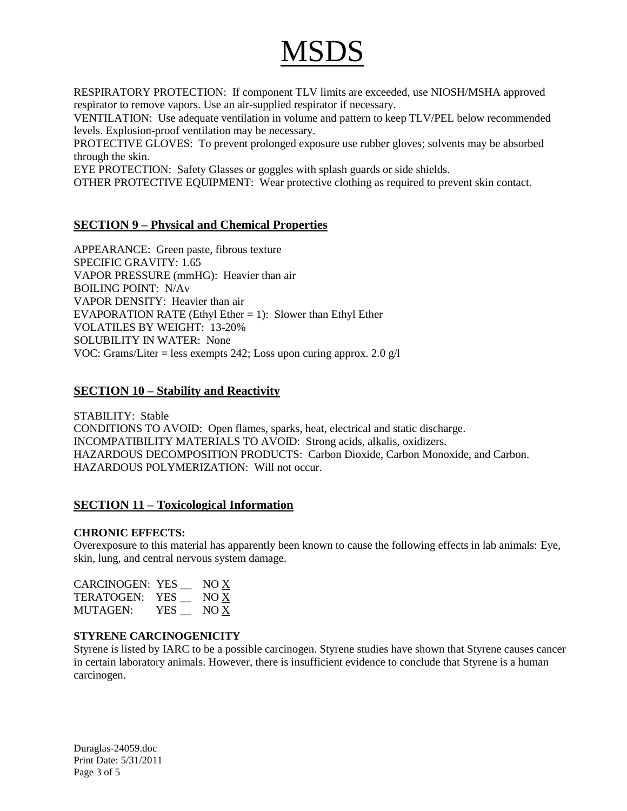RESPIRATORY PROTECTION: If component TLV limits are exceeded, use NIOSH/MSHA approved respirator to remove vapors. Use an air-supplied respirator if necessary.

VENTILATION: Use adequate ventilation in volume and pattern to keep TLV/PEL below recommended levels. Explosion-proof ventilation may be necessary.

PROTECTIVE GLOVES: To prevent prolonged exposure use rubber gloves; solvents may be absorbed through the skin.

EYE PROTECTION: Safety Glasses or goggles with splash guards or side shields.

OTHER PROTECTIVE EQUIPMENT: Wear protective clothing as required to prevent skin contact.

## **SECTION 9 – Physical and Chemical Properties**

APPEARANCE: Green paste, fibrous texture SPECIFIC GRAVITY: 1.65 VAPOR PRESSURE (mmHG): Heavier than air BOILING POINT: N/Av VAPOR DENSITY: Heavier than air EVAPORATION RATE (Ethyl Ether  $= 1$ ): Slower than Ethyl Ether VOLATILES BY WEIGHT: 13-20% SOLUBILITY IN WATER: None VOC: Grams/Liter = less exempts 242; Loss upon curing approx. 2.0 g/l

## **SECTION 10 – Stability and Reactivity**

STABILITY: Stable CONDITIONS TO AVOID: Open flames, sparks, heat, electrical and static discharge. INCOMPATIBILITY MATERIALS TO AVOID: Strong acids, alkalis, oxidizers. HAZARDOUS DECOMPOSITION PRODUCTS: Carbon Dioxide, Carbon Monoxide, and Carbon. HAZARDOUS POLYMERIZATION: Will not occur.

## **SECTION 11 – Toxicological Information**

#### **CHRONIC EFFECTS:**

Overexposure to this material has apparently been known to cause the following effects in lab animals: Eye, skin, lung, and central nervous system damage.

| <b>CARCINOGEN: YES</b> |     | NO X |
|------------------------|-----|------|
| TERATOGEN:             | YES | NO X |
| MUTAGEN:               | YES | NO X |

#### **STYRENE CARCINOGENICITY**

Styrene is listed by IARC to be a possible carcinogen. Styrene studies have shown that Styrene causes cancer in certain laboratory animals. However, there is insufficient evidence to conclude that Styrene is a human carcinogen.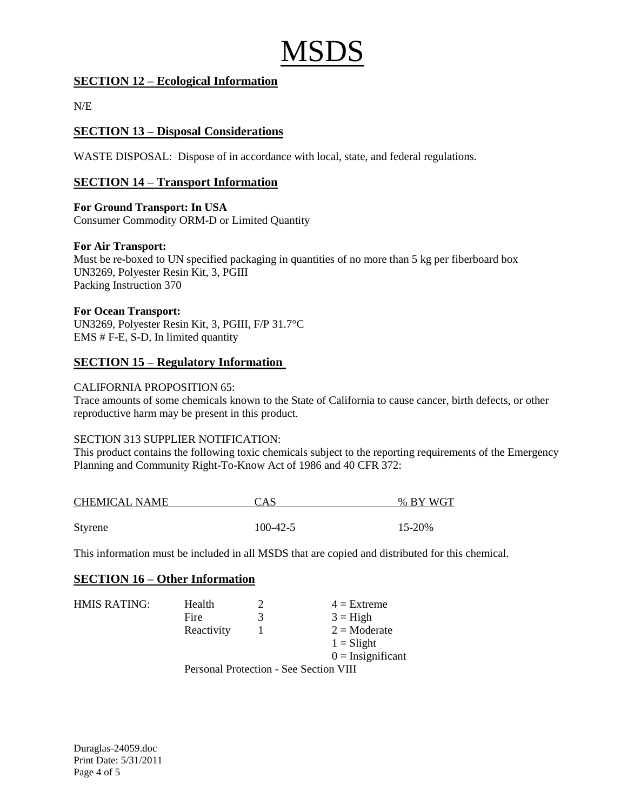# **SECTION 12 – Ecological Information**

 $N/E$ 

# **SECTION 13 – Disposal Considerations**

WASTE DISPOSAL: Dispose of in accordance with local, state, and federal regulations.

## **SECTION 14 – Transport Information**

**For Ground Transport: In USA** Consumer Commodity ORM-D or Limited Quantity

#### **For Air Transport:**

Must be re-boxed to UN specified packaging in quantities of no more than 5 kg per fiberboard box UN3269, Polyester Resin Kit, 3, PGIII Packing Instruction 370

#### **For Ocean Transport:**

UN3269, Polyester Resin Kit, 3, PGIII, F/P 31.7°C EMS # F-E, S-D, In limited quantity

## **SECTION 15 – Regulatory Information**

#### CALIFORNIA PROPOSITION 65:

Trace amounts of some chemicals known to the State of California to cause cancer, birth defects, or other reproductive harm may be present in this product.

#### SECTION 313 SUPPLIER NOTIFICATION:

This product contains the following toxic chemicals subject to the reporting requirements of the Emergency Planning and Community Right-To-Know Act of 1986 and 40 CFR 372:

| <b>CHEMICAL NAME</b> | CAS        | % BY WGT |  |
|----------------------|------------|----------|--|
|                      |            |          |  |
| Styrene              | $100-42-5$ | 15-20%   |  |

This information must be included in all MSDS that are copied and distributed for this chemical.

## **SECTION 16 – Other Information**

| HMIS RATING: | Health                                 | າ | $4 =$ Extreme         |
|--------------|----------------------------------------|---|-----------------------|
|              | Fire                                   | 3 | $3 = High$            |
|              | Reactivity                             |   | $2 = \text{Moderate}$ |
|              |                                        |   | $1 =$ Slight          |
|              |                                        |   | $0 =$ Insignificant   |
|              | Personal Protection - See Section VIII |   |                       |

 $\alpha$  and  $\alpha$  - See Section  $\alpha$ 

Duraglas-24059.doc Print Date: 5/31/2011 Page 4 of 5